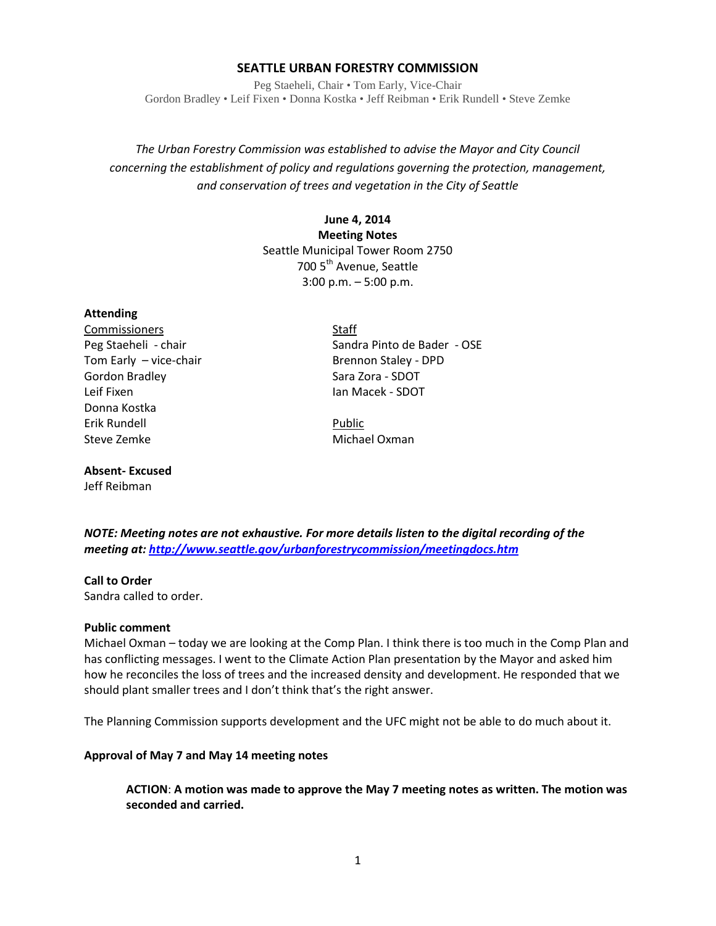### **SEATTLE URBAN FORESTRY COMMISSION**

Peg Staeheli, Chair • Tom Early, Vice-Chair Gordon Bradley • Leif Fixen • Donna Kostka • Jeff Reibman • Erik Rundell • Steve Zemke

*The Urban Forestry Commission was established to advise the Mayor and City Council concerning the establishment of policy and regulations governing the protection, management, and conservation of trees and vegetation in the City of Seattle*

> **June 4, 2014 Meeting Notes** Seattle Municipal Tower Room 2750 700 5<sup>th</sup> Avenue, Seattle 3:00 p.m. – 5:00 p.m.

#### **Attending**

Commissioners Staff Tom Early – vice-chair Brennon Staley - DPD Gordon Bradley Sara Zora - SDOT Leif Fixen **Ian Macek - SDOT** Donna Kostka Erik Rundell Public Steve Zemke Michael Oxman

**Absent- Excused**

Jeff Reibman

Peg Staeheli - chair Sandra Pinto de Bader - OSE

*NOTE: Meeting notes are not exhaustive. For more details listen to the digital recording of the meeting at[: http://www.seattle.gov/urbanforestrycommission/meetingdocs.htm](http://www.seattle.gov/urbanforestrycommission/meetingdocs.htm)*

### **Call to Order**

Sandra called to order.

#### **Public comment**

Michael Oxman – today we are looking at the Comp Plan. I think there is too much in the Comp Plan and has conflicting messages. I went to the Climate Action Plan presentation by the Mayor and asked him how he reconciles the loss of trees and the increased density and development. He responded that we should plant smaller trees and I don't think that's the right answer.

The Planning Commission supports development and the UFC might not be able to do much about it.

### **Approval of May 7 and May 14 meeting notes**

**ACTION**: **A motion was made to approve the May 7 meeting notes as written. The motion was seconded and carried.**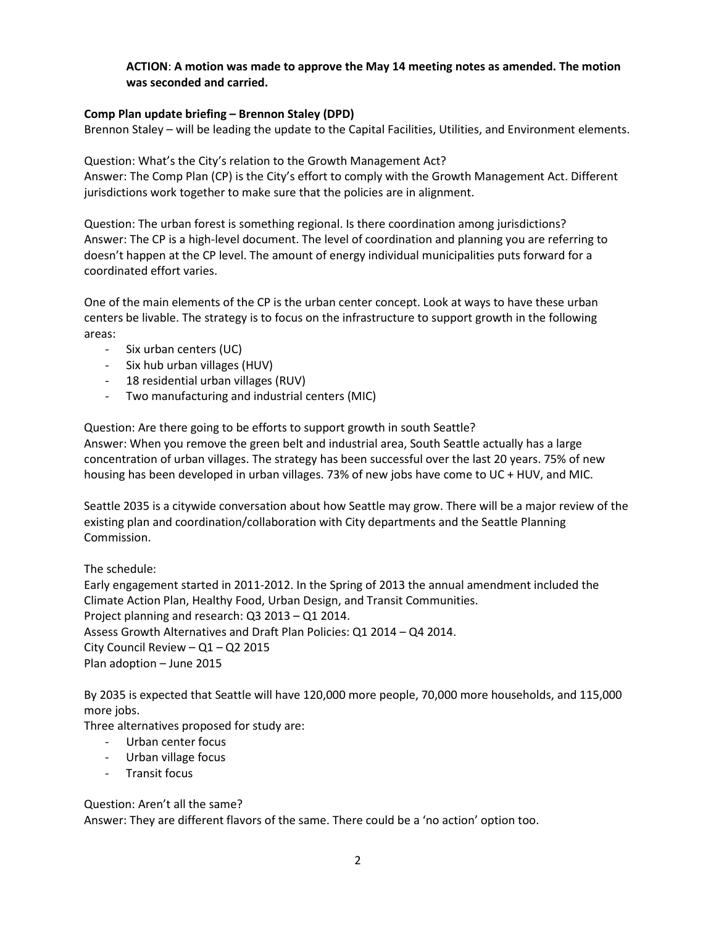### **ACTION**: **A motion was made to approve the May 14 meeting notes as amended. The motion was seconded and carried.**

### **Comp Plan update briefing – Brennon Staley (DPD)**

Brennon Staley – will be leading the update to the Capital Facilities, Utilities, and Environment elements.

Question: What's the City's relation to the Growth Management Act? Answer: The Comp Plan (CP) is the City's effort to comply with the Growth Management Act. Different jurisdictions work together to make sure that the policies are in alignment.

Question: The urban forest is something regional. Is there coordination among jurisdictions? Answer: The CP is a high-level document. The level of coordination and planning you are referring to doesn't happen at the CP level. The amount of energy individual municipalities puts forward for a coordinated effort varies.

One of the main elements of the CP is the urban center concept. Look at ways to have these urban centers be livable. The strategy is to focus on the infrastructure to support growth in the following areas:

- Six urban centers (UC)
- Six hub urban villages (HUV)
- 18 residential urban villages (RUV)
- Two manufacturing and industrial centers (MIC)

Question: Are there going to be efforts to support growth in south Seattle? Answer: When you remove the green belt and industrial area, South Seattle actually has a large concentration of urban villages. The strategy has been successful over the last 20 years. 75% of new housing has been developed in urban villages. 73% of new jobs have come to UC + HUV, and MIC.

Seattle 2035 is a citywide conversation about how Seattle may grow. There will be a major review of the existing plan and coordination/collaboration with City departments and the Seattle Planning Commission.

The schedule:

Early engagement started in 2011-2012. In the Spring of 2013 the annual amendment included the Climate Action Plan, Healthy Food, Urban Design, and Transit Communities. Project planning and research: Q3 2013 – Q1 2014. Assess Growth Alternatives and Draft Plan Policies: Q1 2014 – Q4 2014. City Council Review – Q1 – Q2 2015 Plan adoption – June 2015

By 2035 is expected that Seattle will have 120,000 more people, 70,000 more households, and 115,000 more jobs.

Three alternatives proposed for study are:

- Urban center focus
- Urban village focus
- Transit focus

Question: Aren't all the same?

Answer: They are different flavors of the same. There could be a 'no action' option too.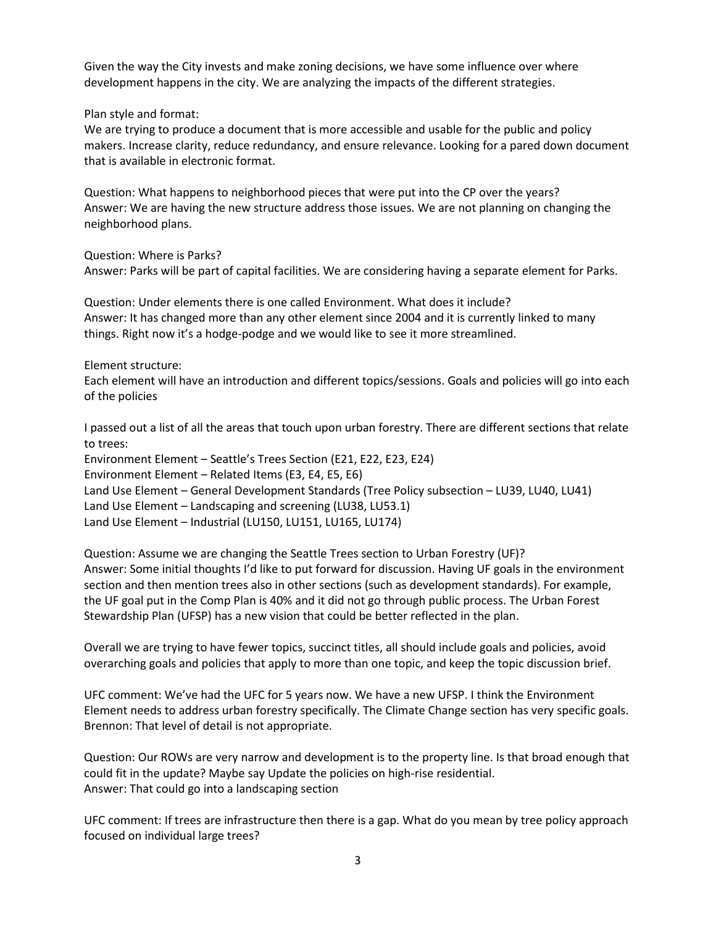Given the way the City invests and make zoning decisions, we have some influence over where development happens in the city. We are analyzing the impacts of the different strategies.

Plan style and format:

We are trying to produce a document that is more accessible and usable for the public and policy makers. Increase clarity, reduce redundancy, and ensure relevance. Looking for a pared down document that is available in electronic format.

Question: What happens to neighborhood pieces that were put into the CP over the years? Answer: We are having the new structure address those issues. We are not planning on changing the neighborhood plans.

Question: Where is Parks? Answer: Parks will be part of capital facilities. We are considering having a separate element for Parks.

Question: Under elements there is one called Environment. What does it include? Answer: It has changed more than any other element since 2004 and it is currently linked to many things. Right now it's a hodge-podge and we would like to see it more streamlined.

Element structure:

Each element will have an introduction and different topics/sessions. Goals and policies will go into each of the policies

I passed out a list of all the areas that touch upon urban forestry. There are different sections that relate to trees:

Environment Element – Seattle's Trees Section (E21, E22, E23, E24) Environment Element – Related Items (E3, E4, E5, E6) Land Use Element – General Development Standards (Tree Policy subsection – LU39, LU40, LU41) Land Use Element – Landscaping and screening (LU38, LU53.1) Land Use Element – Industrial (LU150, LU151, LU165, LU174)

Question: Assume we are changing the Seattle Trees section to Urban Forestry (UF)? Answer: Some initial thoughts I'd like to put forward for discussion. Having UF goals in the environment section and then mention trees also in other sections (such as development standards). For example, the UF goal put in the Comp Plan is 40% and it did not go through public process. The Urban Forest Stewardship Plan (UFSP) has a new vision that could be better reflected in the plan.

Overall we are trying to have fewer topics, succinct titles, all should include goals and policies, avoid overarching goals and policies that apply to more than one topic, and keep the topic discussion brief.

UFC comment: We've had the UFC for 5 years now. We have a new UFSP. I think the Environment Element needs to address urban forestry specifically. The Climate Change section has very specific goals. Brennon: That level of detail is not appropriate.

Question: Our ROWs are very narrow and development is to the property line. Is that broad enough that could fit in the update? Maybe say Update the policies on high-rise residential. Answer: That could go into a landscaping section

UFC comment: If trees are infrastructure then there is a gap. What do you mean by tree policy approach focused on individual large trees?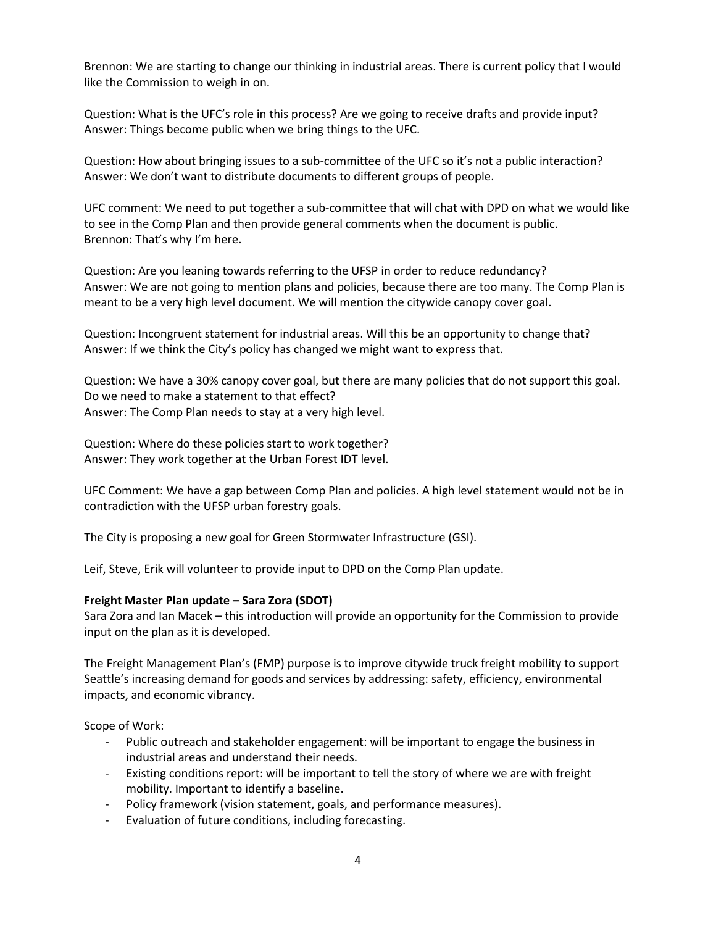Brennon: We are starting to change our thinking in industrial areas. There is current policy that I would like the Commission to weigh in on.

Question: What is the UFC's role in this process? Are we going to receive drafts and provide input? Answer: Things become public when we bring things to the UFC.

Question: How about bringing issues to a sub-committee of the UFC so it's not a public interaction? Answer: We don't want to distribute documents to different groups of people.

UFC comment: We need to put together a sub-committee that will chat with DPD on what we would like to see in the Comp Plan and then provide general comments when the document is public. Brennon: That's why I'm here.

Question: Are you leaning towards referring to the UFSP in order to reduce redundancy? Answer: We are not going to mention plans and policies, because there are too many. The Comp Plan is meant to be a very high level document. We will mention the citywide canopy cover goal.

Question: Incongruent statement for industrial areas. Will this be an opportunity to change that? Answer: If we think the City's policy has changed we might want to express that.

Question: We have a 30% canopy cover goal, but there are many policies that do not support this goal. Do we need to make a statement to that effect? Answer: The Comp Plan needs to stay at a very high level.

Question: Where do these policies start to work together? Answer: They work together at the Urban Forest IDT level.

UFC Comment: We have a gap between Comp Plan and policies. A high level statement would not be in contradiction with the UFSP urban forestry goals.

The City is proposing a new goal for Green Stormwater Infrastructure (GSI).

Leif, Steve, Erik will volunteer to provide input to DPD on the Comp Plan update.

### **Freight Master Plan update – Sara Zora (SDOT)**

Sara Zora and Ian Macek – this introduction will provide an opportunity for the Commission to provide input on the plan as it is developed.

The Freight Management Plan's (FMP) purpose is to improve citywide truck freight mobility to support Seattle's increasing demand for goods and services by addressing: safety, efficiency, environmental impacts, and economic vibrancy.

Scope of Work:

- Public outreach and stakeholder engagement: will be important to engage the business in industrial areas and understand their needs.
- Existing conditions report: will be important to tell the story of where we are with freight mobility. Important to identify a baseline.
- Policy framework (vision statement, goals, and performance measures).
- Evaluation of future conditions, including forecasting.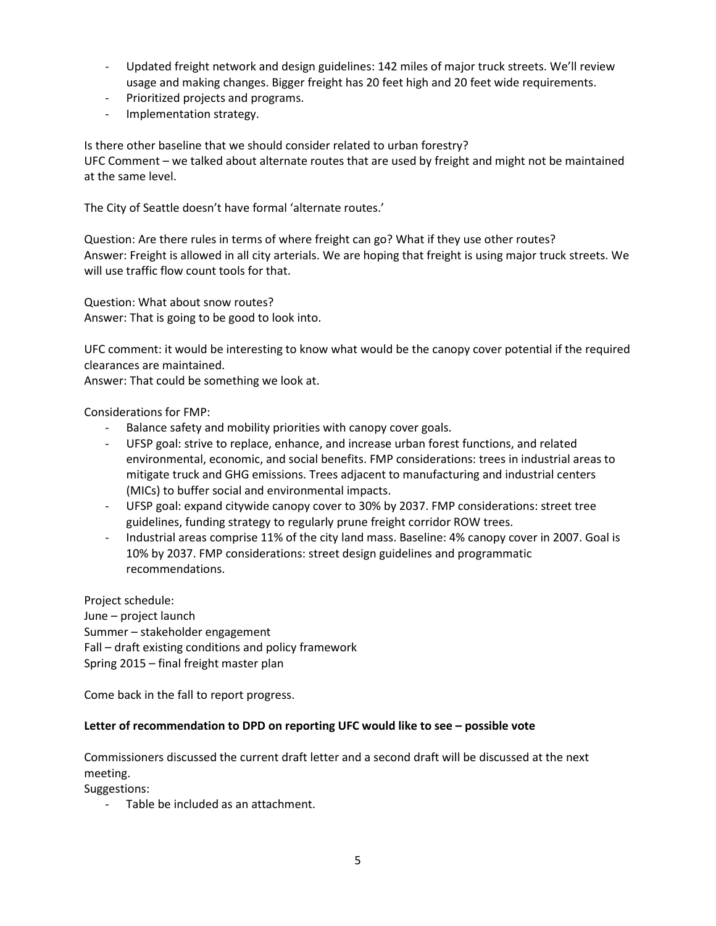- Updated freight network and design guidelines: 142 miles of major truck streets. We'll review usage and making changes. Bigger freight has 20 feet high and 20 feet wide requirements.
- Prioritized projects and programs.
- Implementation strategy.

Is there other baseline that we should consider related to urban forestry? UFC Comment – we talked about alternate routes that are used by freight and might not be maintained at the same level.

The City of Seattle doesn't have formal 'alternate routes.'

Question: Are there rules in terms of where freight can go? What if they use other routes? Answer: Freight is allowed in all city arterials. We are hoping that freight is using major truck streets. We will use traffic flow count tools for that.

Question: What about snow routes? Answer: That is going to be good to look into.

UFC comment: it would be interesting to know what would be the canopy cover potential if the required clearances are maintained.

Answer: That could be something we look at.

Considerations for FMP:

- Balance safety and mobility priorities with canopy cover goals.
- UFSP goal: strive to replace, enhance, and increase urban forest functions, and related environmental, economic, and social benefits. FMP considerations: trees in industrial areas to mitigate truck and GHG emissions. Trees adjacent to manufacturing and industrial centers (MICs) to buffer social and environmental impacts.
- UFSP goal: expand citywide canopy cover to 30% by 2037. FMP considerations: street tree guidelines, funding strategy to regularly prune freight corridor ROW trees.
- Industrial areas comprise 11% of the city land mass. Baseline: 4% canopy cover in 2007. Goal is 10% by 2037. FMP considerations: street design guidelines and programmatic recommendations.

Project schedule: June – project launch Summer – stakeholder engagement Fall – draft existing conditions and policy framework Spring 2015 – final freight master plan

Come back in the fall to report progress.

# **Letter of recommendation to DPD on reporting UFC would like to see – possible vote**

Commissioners discussed the current draft letter and a second draft will be discussed at the next meeting.

Suggestions:

- Table be included as an attachment.